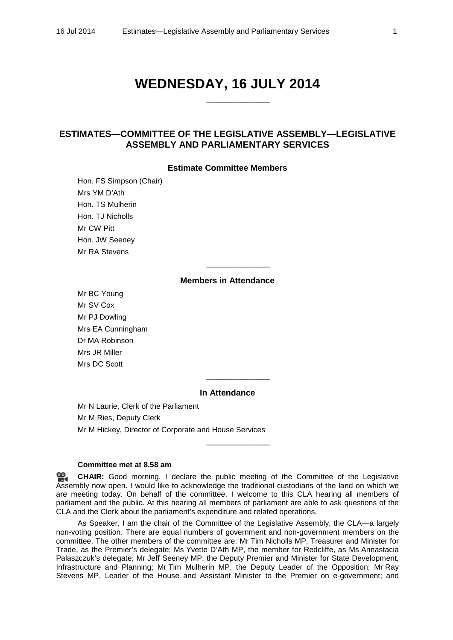# **WEDNESDAY, 16 JULY 2014**

\_\_\_\_\_\_\_\_\_\_\_\_\_\_\_

# **ESTIMATES—COMMITTEE OF THE LEGISLATIVE ASSEMBLY—LEGISLATIVE ASSEMBLY AND PARLIAMENTARY SERVICES**

#### **Estimate Committee Members**

Hon. FS Simpson (Chair) Mrs YM D'Ath Hon. TS Mulherin Hon. TJ Nicholls Mr CW Pitt Hon. JW Seeney Mr RA Stevens

## **Members in Attendance**

\_\_\_\_\_\_\_\_\_\_\_\_\_\_\_

Mr BC Young Mr SV Cox Mr PJ Dowling Mrs EA Cunningham Dr MA Robinson Mrs JR Miller Mrs DC Scott

## **In Attendance**

\_\_\_\_\_\_\_\_\_\_\_\_\_\_\_

\_\_\_\_\_\_\_\_\_\_\_\_\_\_\_

Mr N Laurie, Clerk of the Parliament Mr M Ries, Deputy Clerk Mr M Hickey, Director of Corporate and House Services

## **Committee met at 8.58 am**

**[CHAIR:](http://www.parliament.qld.gov.au/docs/find.aspx?id=0MbaCLA20140716_085909)** Good morning. I declare the public meeting of the Committee of the Legislative Assembly now open. I would like to acknowledge the traditional custodians of the land on which we are meeting today. On behalf of the committee, I welcome to this CLA hearing all members of parliament and the public. At this hearing all members of parliament are able to ask questions of the CLA and the Clerk about the parliament's expenditure and related operations.

As Speaker, I am the chair of the Committee of the Legislative Assembly, the CLA—a largely non-voting position. There are equal numbers of government and non-government members on the committee. The other members of the committee are: Mr Tim Nicholls MP, Treasurer and Minister for Trade, as the Premier's delegate; Ms Yvette D'Ath MP, the member for Redcliffe, as Ms Annastacia Palaszczuk's delegate; Mr Jeff Seeney MP, the Deputy Premier and Minister for State Development, Infrastructure and Planning; Mr Tim Mulherin MP, the Deputy Leader of the Opposition; Mr Ray Stevens MP, Leader of the House and Assistant Minister to the Premier on e-government; and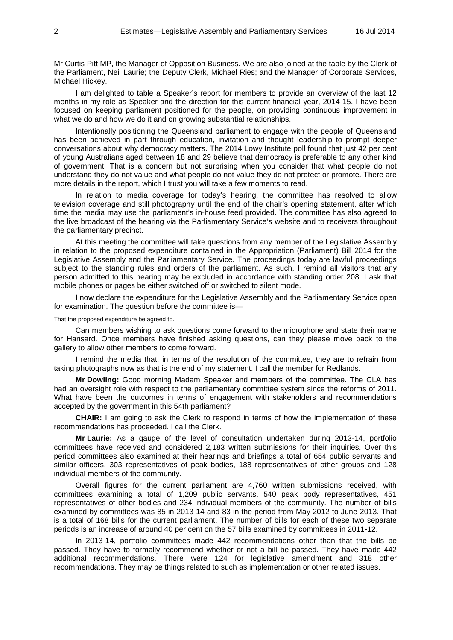Mr Curtis Pitt MP, the Manager of Opposition Business. We are also joined at the table by the Clerk of the Parliament, Neil Laurie; the Deputy Clerk, Michael Ries; and the Manager of Corporate Services, Michael Hickey.

I am delighted to table a Speaker's report for members to provide an overview of the last 12 months in my role as Speaker and the direction for this current financial year, 2014-15. I have been focused on keeping parliament positioned for the people, on providing continuous improvement in what we do and how we do it and on growing substantial relationships.

Intentionally positioning the Queensland parliament to engage with the people of Queensland has been achieved in part through education, invitation and thought leadership to prompt deeper conversations about why democracy matters. The 2014 Lowy Institute poll found that just 42 per cent of young Australians aged between 18 and 29 believe that democracy is preferable to any other kind of government. That is a concern but not surprising when you consider that what people do not understand they do not value and what people do not value they do not protect or promote. There are more details in the report, which I trust you will take a few moments to read.

In relation to media coverage for today's hearing, the committee has resolved to allow television coverage and still photography until the end of the chair's opening statement, after which time the media may use the parliament's in-house feed provided. The committee has also agreed to the live broadcast of the hearing via the Parliamentary Service's website and to receivers throughout the parliamentary precinct.

At this meeting the committee will take questions from any member of the Legislative Assembly in relation to the proposed expenditure contained in the Appropriation (Parliament) Bill 2014 for the Legislative Assembly and the Parliamentary Service. The proceedings today are lawful proceedings subject to the standing rules and orders of the parliament. As such, I remind all visitors that any person admitted to this hearing may be excluded in accordance with standing order 208. I ask that mobile phones or pages be either switched off or switched to silent mode.

I now declare the expenditure for the Legislative Assembly and the Parliamentary Service open for examination. The question before the committee is—

That the proposed expenditure be agreed to.

Can members wishing to ask questions come forward to the microphone and state their name for Hansard. Once members have finished asking questions, can they please move back to the gallery to allow other members to come forward.

I remind the media that, in terms of the resolution of the committee, they are to refrain from taking photographs now as that is the end of my statement. I call the member for Redlands.

**Mr Dowling:** Good morning Madam Speaker and members of the committee. The CLA has had an oversight role with respect to the parliamentary committee system since the reforms of 2011. What have been the outcomes in terms of engagement with stakeholders and recommendations accepted by the government in this 54th parliament?

**CHAIR:** I am going to ask the Clerk to respond in terms of how the implementation of these recommendations has proceeded. I call the Clerk.

**Mr Laurie:** As a gauge of the level of consultation undertaken during 2013-14, portfolio committees have received and considered 2,183 written submissions for their inquiries. Over this period committees also examined at their hearings and briefings a total of 654 public servants and similar officers, 303 representatives of peak bodies, 188 representatives of other groups and 128 individual members of the community.

Overall figures for the current parliament are 4,760 written submissions received, with committees examining a total of 1,209 public servants, 540 peak body representatives, 451 representatives of other bodies and 234 individual members of the community. The number of bills examined by committees was 85 in 2013-14 and 83 in the period from May 2012 to June 2013. That is a total of 168 bills for the current parliament. The number of bills for each of these two separate periods is an increase of around 40 per cent on the 57 bills examined by committees in 2011-12.

In 2013-14, portfolio committees made 442 recommendations other than that the bills be passed. They have to formally recommend whether or not a bill be passed. They have made 442 additional recommendations. There were 124 for legislative amendment and 318 other recommendations. They may be things related to such as implementation or other related issues.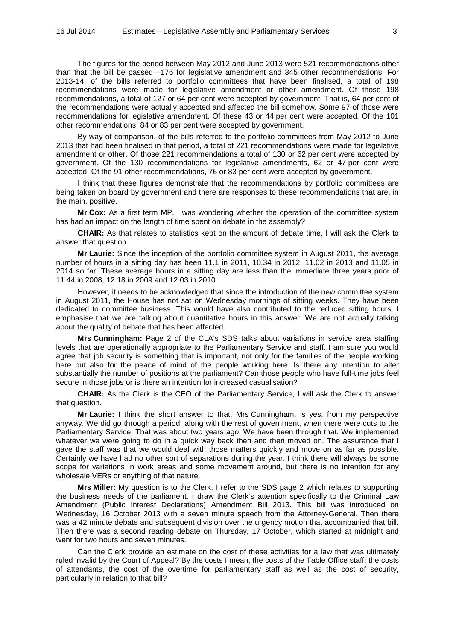The figures for the period between May 2012 and June 2013 were 521 recommendations other than that the bill be passed—176 for legislative amendment and 345 other recommendations. For 2013-14, of the bills referred to portfolio committees that have been finalised, a total of 198 recommendations were made for legislative amendment or other amendment. Of those 198 recommendations, a total of 127 or 64 per cent were accepted by government. That is, 64 per cent of the recommendations were actually accepted and affected the bill somehow. Some 97 of those were recommendations for legislative amendment. Of these 43 or 44 per cent were accepted. Of the 101 other recommendations, 84 or 83 per cent were accepted by government.

By way of comparison, of the bills referred to the portfolio committees from May 2012 to June 2013 that had been finalised in that period, a total of 221 recommendations were made for legislative amendment or other. Of those 221 recommendations a total of 130 or 62 per cent were accepted by government. Of the 130 recommendations for legislative amendments, 62 or 47 per cent were accepted. Of the 91 other recommendations, 76 or 83 per cent were accepted by government.

I think that these figures demonstrate that the recommendations by portfolio committees are being taken on board by government and there are responses to these recommendations that are, in the main, positive.

**Mr Cox:** As a first term MP, I was wondering whether the operation of the committee system has had an impact on the length of time spent on debate in the assembly?

**CHAIR:** As that relates to statistics kept on the amount of debate time, I will ask the Clerk to answer that question.

**Mr Laurie:** Since the inception of the portfolio committee system in August 2011, the average number of hours in a sitting day has been 11.1 in 2011, 10.34 in 2012, 11.02 in 2013 and 11.05 in 2014 so far. These average hours in a sitting day are less than the immediate three years prior of 11.44 in 2008, 12.18 in 2009 and 12.03 in 2010.

However, it needs to be acknowledged that since the introduction of the new committee system in August 2011, the House has not sat on Wednesday mornings of sitting weeks. They have been dedicated to committee business. This would have also contributed to the reduced sitting hours. I emphasise that we are talking about quantitative hours in this answer. We are not actually talking about the quality of debate that has been affected.

**Mrs Cunningham:** Page 2 of the CLA's SDS talks about variations in service area staffing levels that are operationally appropriate to the Parliamentary Service and staff. I am sure you would agree that job security is something that is important, not only for the families of the people working here but also for the peace of mind of the people working here. Is there any intention to alter substantially the number of positions at the parliament? Can those people who have full-time jobs feel secure in those jobs or is there an intention for increased casualisation?

**CHAIR:** As the Clerk is the CEO of the Parliamentary Service, I will ask the Clerk to answer that question.

**Mr Laurie:** I think the short answer to that, Mrs Cunningham, is yes, from my perspective anyway. We did go through a period, along with the rest of government, when there were cuts to the Parliamentary Service. That was about two years ago. We have been through that. We implemented whatever we were going to do in a quick way back then and then moved on. The assurance that I gave the staff was that we would deal with those matters quickly and move on as far as possible. Certainly we have had no other sort of separations during the year. I think there will always be some scope for variations in work areas and some movement around, but there is no intention for any wholesale VERs or anything of that nature.

**Mrs Miller:** My question is to the Clerk. I refer to the SDS page 2 which relates to supporting the business needs of the parliament. I draw the Clerk's attention specifically to the Criminal Law Amendment (Public Interest Declarations) Amendment Bill 2013. This bill was introduced on Wednesday, 16 October 2013 with a seven minute speech from the Attorney-General. Then there was a 42 minute debate and subsequent division over the urgency motion that accompanied that bill. Then there was a second reading debate on Thursday, 17 October, which started at midnight and went for two hours and seven minutes.

Can the Clerk provide an estimate on the cost of these activities for a law that was ultimately ruled invalid by the Court of Appeal? By the costs I mean, the costs of the Table Office staff, the costs of attendants, the cost of the overtime for parliamentary staff as well as the cost of security, particularly in relation to that bill?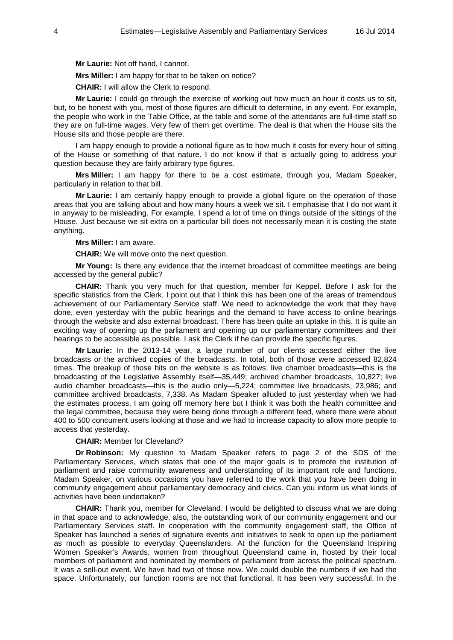**Mr Laurie:** Not off hand, I cannot.

**Mrs Miller:** I am happy for that to be taken on notice?

**CHAIR:** I will allow the Clerk to respond.

**Mr Laurie:** I could go through the exercise of working out how much an hour it costs us to sit, but, to be honest with you, most of those figures are difficult to determine, in any event. For example, the people who work in the Table Office, at the table and some of the attendants are full-time staff so they are on full-time wages. Very few of them get overtime. The deal is that when the House sits the House sits and those people are there.

I am happy enough to provide a notional figure as to how much it costs for every hour of sitting of the House or something of that nature. I do not know if that is actually going to address your question because they are fairly arbitrary type figures.

**Mrs Miller:** I am happy for there to be a cost estimate, through you, Madam Speaker, particularly in relation to that bill.

**Mr Laurie:** I am certainly happy enough to provide a global figure on the operation of those areas that you are talking about and how many hours a week we sit. I emphasise that I do not want it in anyway to be misleading. For example, I spend a lot of time on things outside of the sittings of the House. Just because we sit extra on a particular bill does not necessarily mean it is costing the state anything.

#### **Mrs Miller:** I am aware.

**CHAIR:** We will move onto the next question.

**Mr Young:** Is there any evidence that the internet broadcast of committee meetings are being accessed by the general public?

**CHAIR:** Thank you very much for that question, member for Keppel. Before I ask for the specific statistics from the Clerk, I point out that I think this has been one of the areas of tremendous achievement of our Parliamentary Service staff. We need to acknowledge the work that they have done, even yesterday with the public hearings and the demand to have access to online hearings through the website and also external broadcast. There has been quite an uptake in this. It is quite an exciting way of opening up the parliament and opening up our parliamentary committees and their hearings to be accessible as possible. I ask the Clerk if he can provide the specific figures.

**Mr Laurie:** In the 2013-14 year, a large number of our clients accessed either the live broadcasts or the archived copies of the broadcasts. In total, both of those were accessed 82,824 times. The breakup of those hits on the website is as follows: live chamber broadcasts—this is the broadcasting of the Legislative Assembly itself—35,449; archived chamber broadcasts, 10,827; live audio chamber broadcasts—this is the audio only—5,224; committee live broadcasts, 23,986; and committee archived broadcasts, 7,338. As Madam Speaker alluded to just yesterday when we had the estimates process, I am going off memory here but I think it was both the health committee and the legal committee, because they were being done through a different feed, where there were about 400 to 500 concurrent users looking at those and we had to increase capacity to allow more people to access that yesterday.

## **CHAIR:** Member for Cleveland?

**Dr Robinson:** My question to Madam Speaker refers to page 2 of the SDS of the Parliamentary Services, which states that one of the major goals is to promote the institution of parliament and raise community awareness and understanding of its important role and functions. Madam Speaker, on various occasions you have referred to the work that you have been doing in community engagement about parliamentary democracy and civics. Can you inform us what kinds of activities have been undertaken?

**CHAIR:** Thank you, member for Cleveland. I would be delighted to discuss what we are doing in that space and to acknowledge, also, the outstanding work of our community engagement and our Parliamentary Services staff. In cooperation with the community engagement staff, the Office of Speaker has launched a series of signature events and initiatives to seek to open up the parliament as much as possible to everyday Queenslanders. At the function for the Queensland Inspiring Women Speaker's Awards, women from throughout Queensland came in, hosted by their local members of parliament and nominated by members of parliament from across the political spectrum. It was a sell-out event. We have had two of those now. We could double the numbers if we had the space. Unfortunately, our function rooms are not that functional. It has been very successful. In the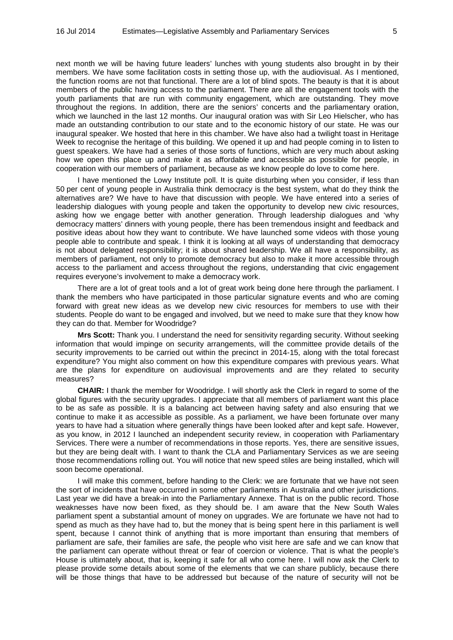next month we will be having future leaders' lunches with young students also brought in by their members. We have some facilitation costs in setting those up, with the audiovisual. As I mentioned, the function rooms are not that functional. There are a lot of blind spots. The beauty is that it is about members of the public having access to the parliament. There are all the engagement tools with the youth parliaments that are run with community engagement, which are outstanding. They move throughout the regions. In addition, there are the seniors' concerts and the parliamentary oration, which we launched in the last 12 months. Our inaugural oration was with Sir Leo Hielscher, who has made an outstanding contribution to our state and to the economic history of our state. He was our inaugural speaker. We hosted that here in this chamber. We have also had a twilight toast in Heritage Week to recognise the heritage of this building. We opened it up and had people coming in to listen to guest speakers. We have had a series of those sorts of functions, which are very much about asking how we open this place up and make it as affordable and accessible as possible for people, in cooperation with our members of parliament, because as we know people do love to come here.

I have mentioned the Lowy Institute poll. It is quite disturbing when you consider, if less than 50 per cent of young people in Australia think democracy is the best system, what do they think the alternatives are? We have to have that discussion with people. We have entered into a series of leadership dialogues with young people and taken the opportunity to develop new civic resources, asking how we engage better with another generation. Through leadership dialogues and 'why democracy matters' dinners with young people, there has been tremendous insight and feedback and positive ideas about how they want to contribute. We have launched some videos with those young people able to contribute and speak. I think it is looking at all ways of understanding that democracy is not about delegated responsibility; it is about shared leadership. We all have a responsibility, as members of parliament, not only to promote democracy but also to make it more accessible through access to the parliament and access throughout the regions, understanding that civic engagement requires everyone's involvement to make a democracy work.

There are a lot of great tools and a lot of great work being done here through the parliament. I thank the members who have participated in those particular signature events and who are coming forward with great new ideas as we develop new civic resources for members to use with their students. People do want to be engaged and involved, but we need to make sure that they know how they can do that. Member for Woodridge?

**Mrs Scott:** Thank you. I understand the need for sensitivity regarding security. Without seeking information that would impinge on security arrangements, will the committee provide details of the security improvements to be carried out within the precinct in 2014-15, along with the total forecast expenditure? You might also comment on how this expenditure compares with previous years. What are the plans for expenditure on audiovisual improvements and are they related to security measures?

**CHAIR:** I thank the member for Woodridge. I will shortly ask the Clerk in regard to some of the global figures with the security upgrades. I appreciate that all members of parliament want this place to be as safe as possible. It is a balancing act between having safety and also ensuring that we continue to make it as accessible as possible. As a parliament, we have been fortunate over many years to have had a situation where generally things have been looked after and kept safe. However, as you know, in 2012 I launched an independent security review, in cooperation with Parliamentary Services. There were a number of recommendations in those reports. Yes, there are sensitive issues, but they are being dealt with. I want to thank the CLA and Parliamentary Services as we are seeing those recommendations rolling out. You will notice that new speed stiles are being installed, which will soon become operational.

I will make this comment, before handing to the Clerk: we are fortunate that we have not seen the sort of incidents that have occurred in some other parliaments in Australia and other jurisdictions. Last year we did have a break-in into the Parliamentary Annexe. That is on the public record. Those weaknesses have now been fixed, as they should be. I am aware that the New South Wales parliament spent a substantial amount of money on upgrades. We are fortunate we have not had to spend as much as they have had to, but the money that is being spent here in this parliament is well spent, because I cannot think of anything that is more important than ensuring that members of parliament are safe, their families are safe, the people who visit here are safe and we can know that the parliament can operate without threat or fear of coercion or violence. That is what the people's House is ultimately about, that is, keeping it safe for all who come here. I will now ask the Clerk to please provide some details about some of the elements that we can share publicly, because there will be those things that have to be addressed but because of the nature of security will not be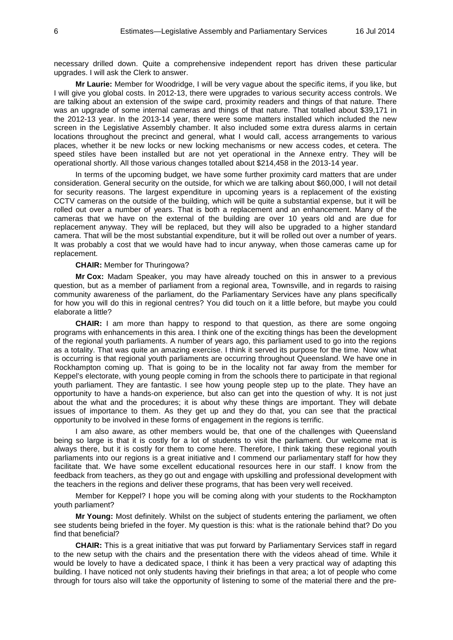necessary drilled down. Quite a comprehensive independent report has driven these particular upgrades. I will ask the Clerk to answer.

**Mr Laurie:** Member for Woodridge, I will be very vague about the specific items, if you like, but I will give you global costs. In 2012-13, there were upgrades to various security access controls. We are talking about an extension of the swipe card, proximity readers and things of that nature. There was an upgrade of some internal cameras and things of that nature. That totalled about \$39,171 in the 2012-13 year. In the 2013-14 year, there were some matters installed which included the new screen in the Legislative Assembly chamber. It also included some extra duress alarms in certain locations throughout the precinct and general, what I would call, access arrangements to various places, whether it be new locks or new locking mechanisms or new access codes, et cetera. The speed stiles have been installed but are not yet operational in the Annexe entry. They will be operational shortly. All those various changes totalled about \$214,458 in the 2013-14 year.

In terms of the upcoming budget, we have some further proximity card matters that are under consideration. General security on the outside, for which we are talking about \$60,000, I will not detail for security reasons. The largest expenditure in upcoming years is a replacement of the existing CCTV cameras on the outside of the building, which will be quite a substantial expense, but it will be rolled out over a number of years. That is both a replacement and an enhancement. Many of the cameras that we have on the external of the building are over 10 years old and are due for replacement anyway. They will be replaced, but they will also be upgraded to a higher standard camera. That will be the most substantial expenditure, but it will be rolled out over a number of years. It was probably a cost that we would have had to incur anyway, when those cameras came up for replacement.

#### **CHAIR:** Member for Thuringowa?

**Mr Cox:** Madam Speaker, you may have already touched on this in answer to a previous question, but as a member of parliament from a regional area, Townsville, and in regards to raising community awareness of the parliament, do the Parliamentary Services have any plans specifically for how you will do this in regional centres? You did touch on it a little before, but maybe you could elaborate a little?

**CHAIR:** I am more than happy to respond to that question, as there are some ongoing programs with enhancements in this area. I think one of the exciting things has been the development of the regional youth parliaments. A number of years ago, this parliament used to go into the regions as a totality. That was quite an amazing exercise. I think it served its purpose for the time. Now what is occurring is that regional youth parliaments are occurring throughout Queensland. We have one in Rockhampton coming up. That is going to be in the locality not far away from the member for Keppel's electorate, with young people coming in from the schools there to participate in that regional youth parliament. They are fantastic. I see how young people step up to the plate. They have an opportunity to have a hands-on experience, but also can get into the question of why. It is not just about the what and the procedures; it is about why these things are important. They will debate issues of importance to them. As they get up and they do that, you can see that the practical opportunity to be involved in these forms of engagement in the regions is terrific.

I am also aware, as other members would be, that one of the challenges with Queensland being so large is that it is costly for a lot of students to visit the parliament. Our welcome mat is always there, but it is costly for them to come here. Therefore, I think taking these regional youth parliaments into our regions is a great initiative and I commend our parliamentary staff for how they facilitate that. We have some excellent educational resources here in our staff. I know from the feedback from teachers, as they go out and engage with upskilling and professional development with the teachers in the regions and deliver these programs, that has been very well received.

Member for Keppel? I hope you will be coming along with your students to the Rockhampton youth parliament?

**Mr Young:** Most definitely. Whilst on the subject of students entering the parliament, we often see students being briefed in the foyer. My question is this: what is the rationale behind that? Do you find that beneficial?

**CHAIR:** This is a great initiative that was put forward by Parliamentary Services staff in regard to the new setup with the chairs and the presentation there with the videos ahead of time. While it would be lovely to have a dedicated space, I think it has been a very practical way of adapting this building. I have noticed not only students having their briefings in that area; a lot of people who come through for tours also will take the opportunity of listening to some of the material there and the pre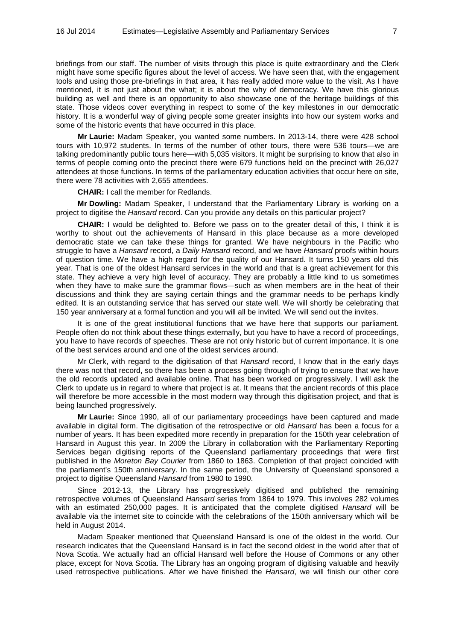briefings from our staff. The number of visits through this place is quite extraordinary and the Clerk might have some specific figures about the level of access. We have seen that, with the engagement tools and using those pre-briefings in that area, it has really added more value to the visit. As I have mentioned, it is not just about the what; it is about the why of democracy. We have this glorious building as well and there is an opportunity to also showcase one of the heritage buildings of this state. Those videos cover everything in respect to some of the key milestones in our democratic history. It is a wonderful way of giving people some greater insights into how our system works and some of the historic events that have occurred in this place.

**Mr Laurie:** Madam Speaker, you wanted some numbers. In 2013-14, there were 428 school tours with 10,972 students. In terms of the number of other tours, there were 536 tours—we are talking predominantly public tours here—with 5,035 visitors. It might be surprising to know that also in terms of people coming onto the precinct there were 679 functions held on the precinct with 26,027 attendees at those functions. In terms of the parliamentary education activities that occur here on site, there were 78 activities with 2,655 attendees.

**CHAIR:** I call the member for Redlands.

**Mr Dowling:** Madam Speaker, I understand that the Parliamentary Library is working on a project to digitise the *Hansard* record. Can you provide any details on this particular project?

**CHAIR:** I would be delighted to. Before we pass on to the greater detail of this, I think it is worthy to shout out the achievements of Hansard in this place because as a more developed democratic state we can take these things for granted. We have neighbours in the Pacific who struggle to have a *Hansard* record, a *Daily Hansard* record, and we have *Hansard* proofs within hours of question time. We have a high regard for the quality of our Hansard. It turns 150 years old this year. That is one of the oldest Hansard services in the world and that is a great achievement for this state. They achieve a very high level of accuracy. They are probably a little kind to us sometimes when they have to make sure the grammar flows—such as when members are in the heat of their discussions and think they are saying certain things and the grammar needs to be perhaps kindly edited. It is an outstanding service that has served our state well. We will shortly be celebrating that 150 year anniversary at a formal function and you will all be invited. We will send out the invites.

It is one of the great institutional functions that we have here that supports our parliament. People often do not think about these things externally, but you have to have a record of proceedings, you have to have records of speeches. These are not only historic but of current importance. It is one of the best services around and one of the oldest services around.

Mr Clerk, with regard to the digitisation of that *Hansard* record, I know that in the early days there was not that record, so there has been a process going through of trying to ensure that we have the old records updated and available online. That has been worked on progressively. I will ask the Clerk to update us in regard to where that project is at. It means that the ancient records of this place will therefore be more accessible in the most modern way through this digitisation project, and that is being launched progressively.

**Mr Laurie:** Since 1990, all of our parliamentary proceedings have been captured and made available in digital form. The digitisation of the retrospective or old *Hansard* has been a focus for a number of years. It has been expedited more recently in preparation for the 150th year celebration of Hansard in August this year. In 2009 the Library in collaboration with the Parliamentary Reporting Services began digitising reports of the Queensland parliamentary proceedings that were first published in the *Moreton Bay Courier* from 1860 to 1863. Completion of that project coincided with the parliament's 150th anniversary. In the same period, the University of Queensland sponsored a project to digitise Queensland *Hansard* from 1980 to 1990.

Since 2012-13, the Library has progressively digitised and published the remaining retrospective volumes of Queensland *Hansard* series from 1864 to 1979. This involves 282 volumes with an estimated 250,000 pages. It is anticipated that the complete digitised *Hansard* will be available via the internet site to coincide with the celebrations of the 150th anniversary which will be held in August 2014.

Madam Speaker mentioned that Queensland Hansard is one of the oldest in the world. Our research indicates that the Queensland Hansard is in fact the second oldest in the world after that of Nova Scotia. We actually had an official Hansard well before the House of Commons or any other place, except for Nova Scotia. The Library has an ongoing program of digitising valuable and heavily used retrospective publications. After we have finished the *Hansard*, we will finish our other core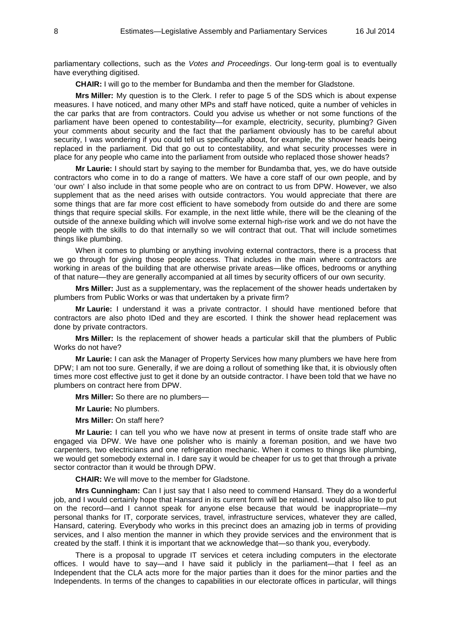parliamentary collections, such as the *Votes and Proceedings*. Our long-term goal is to eventually have everything digitised.

**CHAIR:** I will go to the member for Bundamba and then the member for Gladstone.

**Mrs Miller:** My question is to the Clerk. I refer to page 5 of the SDS which is about expense measures. I have noticed, and many other MPs and staff have noticed, quite a number of vehicles in the car parks that are from contractors. Could you advise us whether or not some functions of the parliament have been opened to contestability—for example, electricity, security, plumbing? Given your comments about security and the fact that the parliament obviously has to be careful about security, I was wondering if you could tell us specifically about, for example, the shower heads being replaced in the parliament. Did that go out to contestability, and what security processes were in place for any people who came into the parliament from outside who replaced those shower heads?

**Mr Laurie:** I should start by saying to the member for Bundamba that, yes, we do have outside contractors who come in to do a range of matters. We have a core staff of our own people, and by 'our own' I also include in that some people who are on contract to us from DPW. However, we also supplement that as the need arises with outside contractors. You would appreciate that there are some things that are far more cost efficient to have somebody from outside do and there are some things that require special skills. For example, in the next little while, there will be the cleaning of the outside of the annexe building which will involve some external high-rise work and we do not have the people with the skills to do that internally so we will contract that out. That will include sometimes things like plumbing.

When it comes to plumbing or anything involving external contractors, there is a process that we go through for giving those people access. That includes in the main where contractors are working in areas of the building that are otherwise private areas—like offices, bedrooms or anything of that nature—they are generally accompanied at all times by security officers of our own security.

**Mrs Miller:** Just as a supplementary, was the replacement of the shower heads undertaken by plumbers from Public Works or was that undertaken by a private firm?

**Mr Laurie:** I understand it was a private contractor. I should have mentioned before that contractors are also photo IDed and they are escorted. I think the shower head replacement was done by private contractors.

**Mrs Miller:** Is the replacement of shower heads a particular skill that the plumbers of Public Works do not have?

**Mr Laurie:** I can ask the Manager of Property Services how many plumbers we have here from DPW; I am not too sure. Generally, if we are doing a rollout of something like that, it is obviously often times more cost effective just to get it done by an outside contractor. I have been told that we have no plumbers on contract here from DPW.

**Mrs Miller:** So there are no plumbers—

**Mr Laurie:** No plumbers.

**Mrs Miller:** On staff here?

**Mr Laurie:** I can tell you who we have now at present in terms of onsite trade staff who are engaged via DPW. We have one polisher who is mainly a foreman position, and we have two carpenters, two electricians and one refrigeration mechanic. When it comes to things like plumbing, we would get somebody external in. I dare say it would be cheaper for us to get that through a private sector contractor than it would be through DPW.

**CHAIR:** We will move to the member for Gladstone.

**Mrs Cunningham:** Can I just say that I also need to commend Hansard. They do a wonderful job, and I would certainly hope that Hansard in its current form will be retained. I would also like to put on the record—and I cannot speak for anyone else because that would be inappropriate—my personal thanks for IT, corporate services, travel, infrastructure services, whatever they are called, Hansard, catering. Everybody who works in this precinct does an amazing job in terms of providing services, and I also mention the manner in which they provide services and the environment that is created by the staff. I think it is important that we acknowledge that—so thank you, everybody.

There is a proposal to upgrade IT services et cetera including computers in the electorate offices. I would have to say—and I have said it publicly in the parliament—that I feel as an Independent that the CLA acts more for the major parties than it does for the minor parties and the Independents. In terms of the changes to capabilities in our electorate offices in particular, will things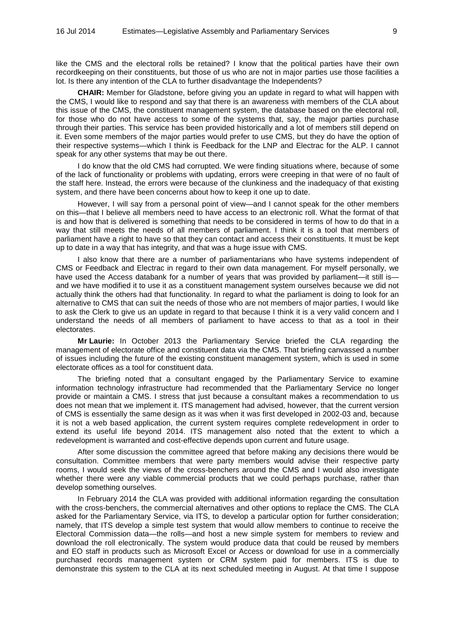like the CMS and the electoral rolls be retained? I know that the political parties have their own recordkeeping on their constituents, but those of us who are not in major parties use those facilities a lot. Is there any intention of the CLA to further disadvantage the Independents?

**CHAIR:** Member for Gladstone, before giving you an update in regard to what will happen with the CMS, I would like to respond and say that there is an awareness with members of the CLA about this issue of the CMS, the constituent management system, the database based on the electoral roll, for those who do not have access to some of the systems that, say, the major parties purchase through their parties. This service has been provided historically and a lot of members still depend on it. Even some members of the major parties would prefer to use CMS, but they do have the option of their respective systems—which I think is Feedback for the LNP and Electrac for the ALP. I cannot speak for any other systems that may be out there.

I do know that the old CMS had corrupted. We were finding situations where, because of some of the lack of functionality or problems with updating, errors were creeping in that were of no fault of the staff here. Instead, the errors were because of the clunkiness and the inadequacy of that existing system, and there have been concerns about how to keep it one up to date.

However, I will say from a personal point of view—and I cannot speak for the other members on this—that I believe all members need to have access to an electronic roll. What the format of that is and how that is delivered is something that needs to be considered in terms of how to do that in a way that still meets the needs of all members of parliament. I think it is a tool that members of parliament have a right to have so that they can contact and access their constituents. It must be kept up to date in a way that has integrity, and that was a huge issue with CMS.

I also know that there are a number of parliamentarians who have systems independent of CMS or Feedback and Electrac in regard to their own data management. For myself personally, we have used the Access databank for a number of years that was provided by parliament—it still is and we have modified it to use it as a constituent management system ourselves because we did not actually think the others had that functionality. In regard to what the parliament is doing to look for an alternative to CMS that can suit the needs of those who are not members of major parties, I would like to ask the Clerk to give us an update in regard to that because I think it is a very valid concern and I understand the needs of all members of parliament to have access to that as a tool in their electorates.

**Mr Laurie:** In October 2013 the Parliamentary Service briefed the CLA regarding the management of electorate office and constituent data via the CMS. That briefing canvassed a number of issues including the future of the existing constituent management system, which is used in some electorate offices as a tool for constituent data.

The briefing noted that a consultant engaged by the Parliamentary Service to examine information technology infrastructure had recommended that the Parliamentary Service no longer provide or maintain a CMS. I stress that just because a consultant makes a recommendation to us does not mean that we implement it. ITS management had advised, however, that the current version of CMS is essentially the same design as it was when it was first developed in 2002-03 and, because it is not a web based application, the current system requires complete redevelopment in order to extend its useful life beyond 2014. ITS management also noted that the extent to which a redevelopment is warranted and cost-effective depends upon current and future usage.

After some discussion the committee agreed that before making any decisions there would be consultation. Committee members that were party members would advise their respective party rooms, I would seek the views of the cross-benchers around the CMS and I would also investigate whether there were any viable commercial products that we could perhaps purchase, rather than develop something ourselves.

In February 2014 the CLA was provided with additional information regarding the consultation with the cross-benchers, the commercial alternatives and other options to replace the CMS. The CLA asked for the Parliamentary Service, via ITS, to develop a particular option for further consideration; namely, that ITS develop a simple test system that would allow members to continue to receive the Electoral Commission data—the rolls—and host a new simple system for members to review and download the roll electronically. The system would produce data that could be reused by members and EO staff in products such as Microsoft Excel or Access or download for use in a commercially purchased records management system or CRM system paid for members. ITS is due to demonstrate this system to the CLA at its next scheduled meeting in August. At that time I suppose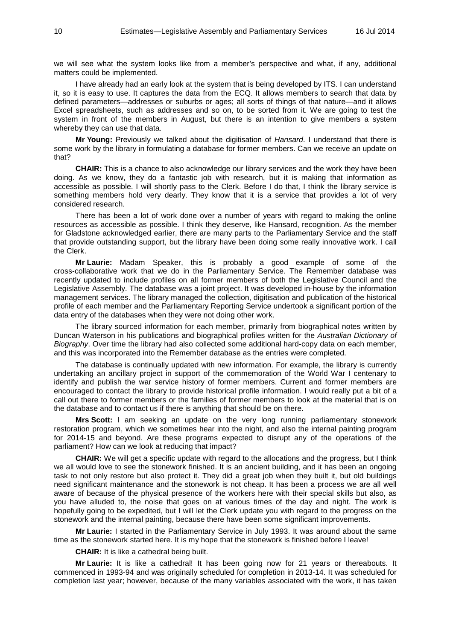we will see what the system looks like from a member's perspective and what, if any, additional matters could be implemented.

I have already had an early look at the system that is being developed by ITS. I can understand it, so it is easy to use. It captures the data from the ECQ. It allows members to search that data by defined parameters—addresses or suburbs or ages; all sorts of things of that nature—and it allows Excel spreadsheets, such as addresses and so on, to be sorted from it. We are going to test the system in front of the members in August, but there is an intention to give members a system whereby they can use that data.

**Mr Young:** Previously we talked about the digitisation of *Hansard*. I understand that there is some work by the library in formulating a database for former members. Can we receive an update on that?

**CHAIR:** This is a chance to also acknowledge our library services and the work they have been doing. As we know, they do a fantastic job with research, but it is making that information as accessible as possible. I will shortly pass to the Clerk. Before I do that, I think the library service is something members hold very dearly. They know that it is a service that provides a lot of very considered research.

There has been a lot of work done over a number of years with regard to making the online resources as accessible as possible. I think they deserve, like Hansard, recognition. As the member for Gladstone acknowledged earlier, there are many parts to the Parliamentary Service and the staff that provide outstanding support, but the library have been doing some really innovative work. I call the Clerk.

**Mr Laurie:** Madam Speaker, this is probably a good example of some of the cross-collaborative work that we do in the Parliamentary Service. The Remember database was recently updated to include profiles on all former members of both the Legislative Council and the Legislative Assembly. The database was a joint project. It was developed in-house by the information management services. The library managed the collection, digitisation and publication of the historical profile of each member and the Parliamentary Reporting Service undertook a significant portion of the data entry of the databases when they were not doing other work.

The library sourced information for each member, primarily from biographical notes written by Duncan Waterson in his publications and biographical profiles written for the *Australian Dictionary of Biography*. Over time the library had also collected some additional hard-copy data on each member, and this was incorporated into the Remember database as the entries were completed.

The database is continually updated with new information. For example, the library is currently undertaking an ancillary project in support of the commemoration of the World War I centenary to identify and publish the war service history of former members. Current and former members are encouraged to contact the library to provide historical profile information. I would really put a bit of a call out there to former members or the families of former members to look at the material that is on the database and to contact us if there is anything that should be on there.

**Mrs Scott:** I am seeking an update on the very long running parliamentary stonework restoration program, which we sometimes hear into the night, and also the internal painting program for 2014-15 and beyond. Are these programs expected to disrupt any of the operations of the parliament? How can we look at reducing that impact?

**CHAIR:** We will get a specific update with regard to the allocations and the progress, but I think we all would love to see the stonework finished. It is an ancient building, and it has been an ongoing task to not only restore but also protect it. They did a great job when they built it, but old buildings need significant maintenance and the stonework is not cheap. It has been a process we are all well aware of because of the physical presence of the workers here with their special skills but also, as you have alluded to, the noise that goes on at various times of the day and night. The work is hopefully going to be expedited, but I will let the Clerk update you with regard to the progress on the stonework and the internal painting, because there have been some significant improvements.

**Mr Laurie:** I started in the Parliamentary Service in July 1993. It was around about the same time as the stonework started here. It is my hope that the stonework is finished before I leave!

**CHAIR:** It is like a cathedral being built.

**Mr Laurie:** It is like a cathedral! It has been going now for 21 years or thereabouts. It commenced in 1993-94 and was originally scheduled for completion in 2013-14. It was scheduled for completion last year; however, because of the many variables associated with the work, it has taken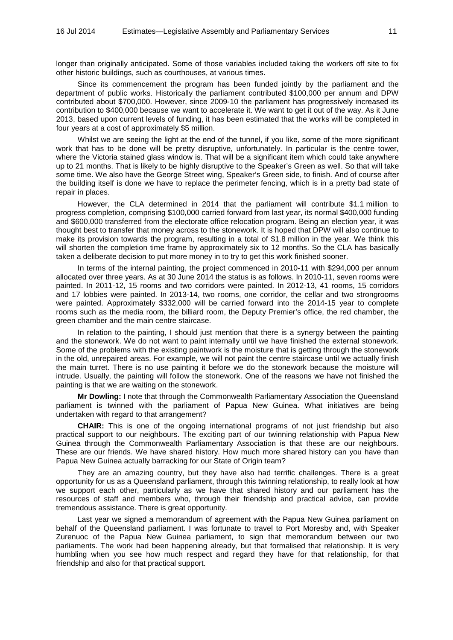longer than originally anticipated. Some of those variables included taking the workers off site to fix other historic buildings, such as courthouses, at various times.

Since its commencement the program has been funded jointly by the parliament and the department of public works. Historically the parliament contributed \$100,000 per annum and DPW contributed about \$700,000. However, since 2009-10 the parliament has progressively increased its contribution to \$400,000 because we want to accelerate it. We want to get it out of the way. As it June 2013, based upon current levels of funding, it has been estimated that the works will be completed in four years at a cost of approximately \$5 million.

Whilst we are seeing the light at the end of the tunnel, if you like, some of the more significant work that has to be done will be pretty disruptive, unfortunately. In particular is the centre tower, where the Victoria stained glass window is. That will be a significant item which could take anywhere up to 21 months. That is likely to be highly disruptive to the Speaker's Green as well. So that will take some time. We also have the George Street wing, Speaker's Green side, to finish. And of course after the building itself is done we have to replace the perimeter fencing, which is in a pretty bad state of repair in places.

However, the CLA determined in 2014 that the parliament will contribute \$1.1 million to progress completion, comprising \$100,000 carried forward from last year, its normal \$400,000 funding and \$600,000 transferred from the electorate office relocation program. Being an election year, it was thought best to transfer that money across to the stonework. It is hoped that DPW will also continue to make its provision towards the program, resulting in a total of \$1.8 million in the year. We think this will shorten the completion time frame by approximately six to 12 months. So the CLA has basically taken a deliberate decision to put more money in to try to get this work finished sooner.

In terms of the internal painting, the project commenced in 2010-11 with \$294,000 per annum allocated over three years. As at 30 June 2014 the status is as follows. In 2010-11, seven rooms were painted. In 2011-12, 15 rooms and two corridors were painted. In 2012-13, 41 rooms, 15 corridors and 17 lobbies were painted. In 2013-14, two rooms, one corridor, the cellar and two strongrooms were painted. Approximately \$332,000 will be carried forward into the 2014-15 year to complete rooms such as the media room, the billiard room, the Deputy Premier's office, the red chamber, the green chamber and the main centre staircase.

In relation to the painting, I should just mention that there is a synergy between the painting and the stonework. We do not want to paint internally until we have finished the external stonework. Some of the problems with the existing paintwork is the moisture that is getting through the stonework in the old, unrepaired areas. For example, we will not paint the centre staircase until we actually finish the main turret. There is no use painting it before we do the stonework because the moisture will intrude. Usually, the painting will follow the stonework. One of the reasons we have not finished the painting is that we are waiting on the stonework.

**Mr Dowling:** I note that through the Commonwealth Parliamentary Association the Queensland parliament is twinned with the parliament of Papua New Guinea. What initiatives are being undertaken with regard to that arrangement?

**CHAIR:** This is one of the ongoing international programs of not just friendship but also practical support to our neighbours. The exciting part of our twinning relationship with Papua New Guinea through the Commonwealth Parliamentary Association is that these are our neighbours. These are our friends. We have shared history. How much more shared history can you have than Papua New Guinea actually barracking for our State of Origin team?

They are an amazing country, but they have also had terrific challenges. There is a great opportunity for us as a Queensland parliament, through this twinning relationship, to really look at how we support each other, particularly as we have that shared history and our parliament has the resources of staff and members who, through their friendship and practical advice, can provide tremendous assistance. There is great opportunity.

Last year we signed a memorandum of agreement with the Papua New Guinea parliament on behalf of the Queensland parliament. I was fortunate to travel to Port Moresby and, with Speaker Zurenuoc of the Papua New Guinea parliament, to sign that memorandum between our two parliaments. The work had been happening already, but that formalised that relationship. It is very humbling when you see how much respect and regard they have for that relationship, for that friendship and also for that practical support.